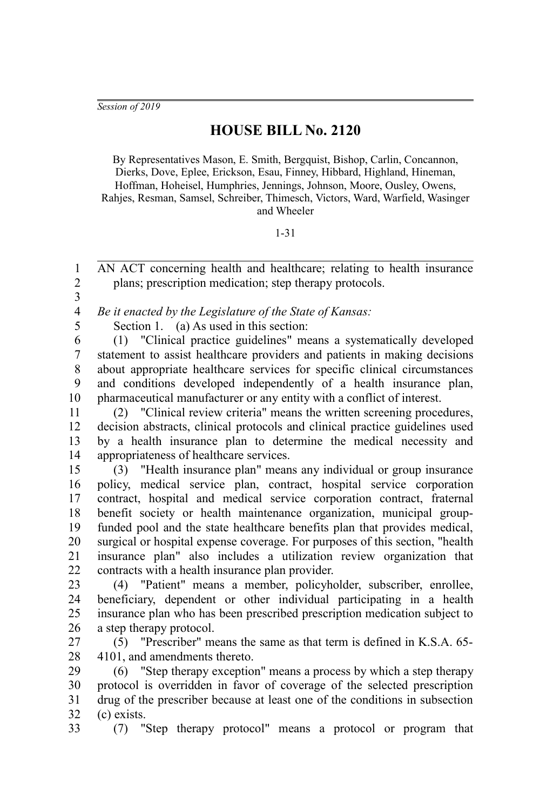## **HOUSE BILL No. 2120**

By Representatives Mason, E. Smith, Bergquist, Bishop, Carlin, Concannon, Dierks, Dove, Eplee, Erickson, Esau, Finney, Hibbard, Highland, Hineman, Hoffman, Hoheisel, Humphries, Jennings, Johnson, Moore, Ousley, Owens, Rahjes, Resman, Samsel, Schreiber, Thimesch, Victors, Ward, Warfield, Wasinger and Wheeler

## 1-31

AN ACT concerning health and healthcare; relating to health insurance plans; prescription medication; step therapy protocols. 2

3 4

5

1

*Be it enacted by the Legislature of the State of Kansas:*

Section 1. (a) As used in this section:

(1) "Clinical practice guidelines" means a systematically developed statement to assist healthcare providers and patients in making decisions about appropriate healthcare services for specific clinical circumstances and conditions developed independently of a health insurance plan, pharmaceutical manufacturer or any entity with a conflict of interest. 6 7 8 9 10

(2) "Clinical review criteria" means the written screening procedures, decision abstracts, clinical protocols and clinical practice guidelines used by a health insurance plan to determine the medical necessity and appropriateness of healthcare services. 11 12 13 14

(3) "Health insurance plan" means any individual or group insurance policy, medical service plan, contract, hospital service corporation contract, hospital and medical service corporation contract, fraternal benefit society or health maintenance organization, municipal groupfunded pool and the state healthcare benefits plan that provides medical, surgical or hospital expense coverage. For purposes of this section, "health insurance plan" also includes a utilization review organization that contracts with a health insurance plan provider. 15 16 17 18 19 20 21 22

(4) "Patient" means a member, policyholder, subscriber, enrollee, beneficiary, dependent or other individual participating in a health insurance plan who has been prescribed prescription medication subject to a step therapy protocol. 23 24 25 26

(5) "Prescriber" means the same as that term is defined in K.S.A. 65- 4101, and amendments thereto. 27 28

(6) "Step therapy exception" means a process by which a step therapy protocol is overridden in favor of coverage of the selected prescription drug of the prescriber because at least one of the conditions in subsection (c) exists. 29 30 31 32

(7) "Step therapy protocol" means a protocol or program that 33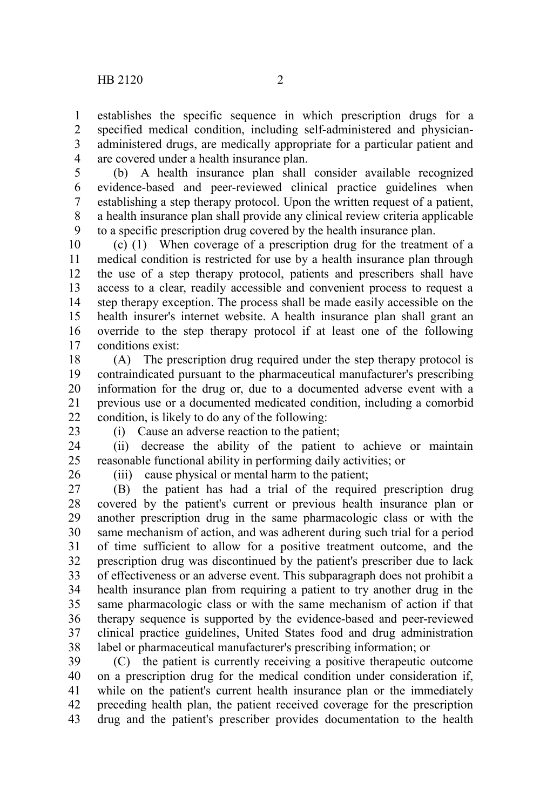establishes the specific sequence in which prescription drugs for a specified medical condition, including self-administered and physicianadministered drugs, are medically appropriate for a particular patient and are covered under a health insurance plan. 1 2 3 4

(b) A health insurance plan shall consider available recognized evidence-based and peer-reviewed clinical practice guidelines when establishing a step therapy protocol. Upon the written request of a patient, a health insurance plan shall provide any clinical review criteria applicable to a specific prescription drug covered by the health insurance plan. 5 6 7 8 9

(c) (1) When coverage of a prescription drug for the treatment of a medical condition is restricted for use by a health insurance plan through the use of a step therapy protocol, patients and prescribers shall have access to a clear, readily accessible and convenient process to request a step therapy exception. The process shall be made easily accessible on the health insurer's internet website. A health insurance plan shall grant an override to the step therapy protocol if at least one of the following conditions exist: 10 11 12 13 14 15 16 17

(A) The prescription drug required under the step therapy protocol is contraindicated pursuant to the pharmaceutical manufacturer's prescribing information for the drug or, due to a documented adverse event with a previous use or a documented medicated condition, including a comorbid condition, is likely to do any of the following: 18 19 20 21 22

23

(i) Cause an adverse reaction to the patient;

(ii) decrease the ability of the patient to achieve or maintain reasonable functional ability in performing daily activities; or 24 25

26

(iii) cause physical or mental harm to the patient;

(B) the patient has had a trial of the required prescription drug covered by the patient's current or previous health insurance plan or another prescription drug in the same pharmacologic class or with the same mechanism of action, and was adherent during such trial for a period of time sufficient to allow for a positive treatment outcome, and the prescription drug was discontinued by the patient's prescriber due to lack of effectiveness or an adverse event. This subparagraph does not prohibit a health insurance plan from requiring a patient to try another drug in the same pharmacologic class or with the same mechanism of action if that therapy sequence is supported by the evidence-based and peer-reviewed clinical practice guidelines, United States food and drug administration label or pharmaceutical manufacturer's prescribing information; or 27 28 29 30 31 32 33 34 35 36 37 38

(C) the patient is currently receiving a positive therapeutic outcome on a prescription drug for the medical condition under consideration if, while on the patient's current health insurance plan or the immediately preceding health plan, the patient received coverage for the prescription drug and the patient's prescriber provides documentation to the health 39 40 41 42 43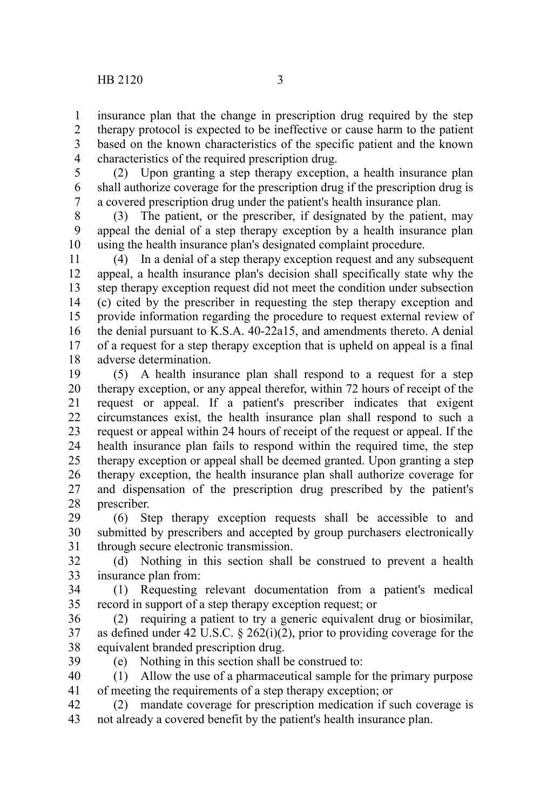insurance plan that the change in prescription drug required by the step therapy protocol is expected to be ineffective or cause harm to the patient based on the known characteristics of the specific patient and the known characteristics of the required prescription drug. 1 2 3 4

5

(2) Upon granting a step therapy exception, a health insurance plan shall authorize coverage for the prescription drug if the prescription drug is a covered prescription drug under the patient's health insurance plan. 6 7

(3) The patient, or the prescriber, if designated by the patient, may appeal the denial of a step therapy exception by a health insurance plan using the health insurance plan's designated complaint procedure. 8 9 10

(4) In a denial of a step therapy exception request and any subsequent appeal, a health insurance plan's decision shall specifically state why the step therapy exception request did not meet the condition under subsection (c) cited by the prescriber in requesting the step therapy exception and provide information regarding the procedure to request external review of the denial pursuant to K.S.A. 40-22a15, and amendments thereto. A denial of a request for a step therapy exception that is upheld on appeal is a final adverse determination. 11 12 13 14 15 16 17 18

(5) A health insurance plan shall respond to a request for a step therapy exception, or any appeal therefor, within 72 hours of receipt of the request or appeal. If a patient's prescriber indicates that exigent circumstances exist, the health insurance plan shall respond to such a request or appeal within 24 hours of receipt of the request or appeal. If the health insurance plan fails to respond within the required time, the step therapy exception or appeal shall be deemed granted. Upon granting a step therapy exception, the health insurance plan shall authorize coverage for and dispensation of the prescription drug prescribed by the patient's prescriber. 19 20 21 22 23 24 25 26 27 28

(6) Step therapy exception requests shall be accessible to and submitted by prescribers and accepted by group purchasers electronically through secure electronic transmission. 29 30 31

(d) Nothing in this section shall be construed to prevent a health insurance plan from: 32 33

(1) Requesting relevant documentation from a patient's medical record in support of a step therapy exception request; or 34 35

(2) requiring a patient to try a generic equivalent drug or biosimilar, as defined under 42 U.S.C. § 262(i)(2), prior to providing coverage for the equivalent branded prescription drug. 36 37 38

39

(e) Nothing in this section shall be construed to:

(1) Allow the use of a pharmaceutical sample for the primary purpose of meeting the requirements of a step therapy exception; or 40 41

(2) mandate coverage for prescription medication if such coverage is not already a covered benefit by the patient's health insurance plan. 42 43